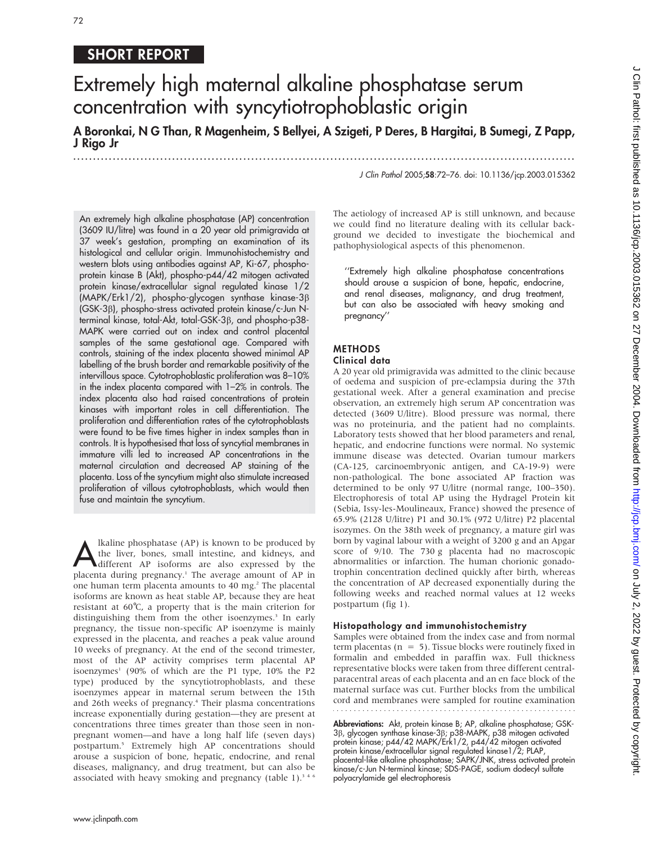## SHORT REPORT

# Extremely high maternal alkaline phosphatase serum concentration with syncytiotrophoblastic origin

A Boronkai, N G Than, R Magenheim, S Bellyei, A Szigeti, P Deres, B Hargitai, B Sumegi, Z Papp, J Rigo Jr

...............................................................................................................................

J Clin Pathol 2005;58:72–76. doi: 10.1136/jcp.2003.015362

An extremely high alkaline phosphatase (AP) concentration (3609 IU/litre) was found in a 20 year old primigravida at 37 week's gestation, prompting an examination of its histological and cellular origin. Immunohistochemistry and western blots using antibodies against AP, Ki-67, phosphoprotein kinase B (Akt), phospho-p44/42 mitogen activated protein kinase/extracellular signal regulated kinase 1/2 (MAPK/Erk1/2), phospho-glycogen synthase kinase-3b (GSK-3b), phospho-stress activated protein kinase/c-Jun Nterminal kinase, total-Akt, total-GSK-3 $\beta$ , and phospho-p38-MAPK were carried out on index and control placental samples of the same gestational age. Compared with controls, staining of the index placenta showed minimal AP labelling of the brush border and remarkable positivity of the intervillous space. Cytotrophoblastic proliferation was 8–10% in the index placenta compared with 1–2% in controls. The index placenta also had raised concentrations of protein kinases with important roles in cell differentiation. The proliferation and differentiation rates of the cytotrophoblasts were found to be five times higher in index samples than in controls. It is hypothesised that loss of syncytial membranes in immature villi led to increased AP concentrations in the maternal circulation and decreased AP staining of the placenta. Loss of the syncytium might also stimulate increased proliferation of villous cytotrophoblasts, which would then fuse and maintain the syncytium.

Alkaline phosphatase (AP) is known to be produced by<br>the liver, bones, small intestine, and kidneys, and<br>different AP isoforms are also expressed by the<br>placenta during programment The success amount of AB in the liver, bones, small intestine, and kidneys, and placenta during pregnancy.<sup>1</sup> The average amount of AP in one human term placenta amounts to 40 mg.<sup>2</sup> The placental isoforms are known as heat stable AP, because they are heat resistant at  $60^{\circ}$ C, a property that is the main criterion for distinguishing them from the other isoenzymes.<sup>3</sup> In early pregnancy, the tissue non-specific AP isoenzyme is mainly expressed in the placenta, and reaches a peak value around 10 weeks of pregnancy. At the end of the second trimester, most of the AP activity comprises term placental AP isoenzymes<sup>1</sup> (90% of which are the P1 type,  $10\%$  the P2 type) produced by the syncytiotrophoblasts, and these isoenzymes appear in maternal serum between the 15th and 26th weeks of pregnancy.<sup>4</sup> Their plasma concentrations increase exponentially during gestation—they are present at concentrations three times greater than those seen in nonpregnant women—and have a long half life (seven days) postpartum.5 Extremely high AP concentrations should arouse a suspicion of bone, hepatic, endocrine, and renal diseases, malignancy, and drug treatment, but can also be associated with heavy smoking and pregnancy (table 1). $3.46$  The aetiology of increased AP is still unknown, and because we could find no literature dealing with its cellular background we decided to investigate the biochemical and pathophysiological aspects of this phenomenon.

''Extremely high alkaline phosphatase concentrations should arouse a suspicion of bone, hepatic, endocrine, and renal diseases, malignancy, and drug treatment, but can also be associated with heavy smoking and pregnancy''

### METHODS

#### Clinical data

A 20 year old primigravida was admitted to the clinic because of oedema and suspicion of pre-eclampsia during the 37th gestational week. After a general examination and precise observation, an extremely high serum AP concentration was detected (3609 U/litre). Blood pressure was normal, there was no proteinuria, and the patient had no complaints. Laboratory tests showed that her blood parameters and renal, hepatic, and endocrine functions were normal. No systemic immune disease was detected. Ovarian tumour markers (CA-125, carcinoembryonic antigen, and CA-19-9) were non-pathological. The bone associated AP fraction was determined to be only 97 U/litre (normal range, 100–350). Electrophoresis of total AP using the Hydragel Protein kit (Sebia, Issy-les-Moulineaux, France) showed the presence of 65.9% (2128 U/litre) P1 and 30.1% (972 U/litre) P2 placental isozymes. On the 38th week of pregnancy, a mature girl was born by vaginal labour with a weight of 3200 g and an Apgar score of 9/10. The 730 g placenta had no macroscopic abnormalities or infarction. The human chorionic gonadotrophin concentration declined quickly after birth, whereas the concentration of AP decreased exponentially during the following weeks and reached normal values at 12 weeks postpartum (fig 1).

#### Histopathology and immunohistochemistry

Samples were obtained from the index case and from normal term placentas ( $n = 5$ ). Tissue blocks were routinely fixed in formalin and embedded in paraffin wax. Full thickness representative blocks were taken from three different centralparacentral areas of each placenta and an en face block of the maternal surface was cut. Further blocks from the umbilical cord and membranes were sampled for routine examination

Abbreviations: Akt, protein kinase B; AP, alkaline phosphatase; GSK-3b, glycogen synthase kinase-3b; p38-MAPK, p38 mitogen activated protein kinase; p44/42 MAPK/Erk1/2, p44/42 mitogen activated protein kinase/extracellular signal regulated kinase1/2; PLAP, placental-like alkaline phosphatase; SAPK/JNK, stress activated protein kinase/c-Jun N-terminal kinase; SDS-PAGE, sodium dodecyl sulfate polyacrylamide gel electrophoresis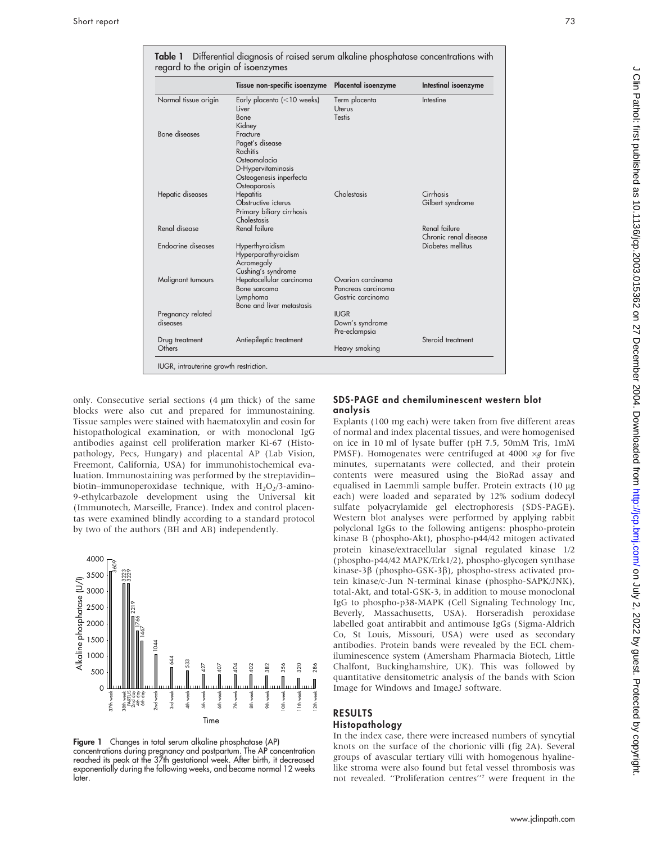|                               | Tissue non-specific isoenzyme                                                                                            | Placental isoenzyme                                          | Intestinal isoenzyme                   |
|-------------------------------|--------------------------------------------------------------------------------------------------------------------------|--------------------------------------------------------------|----------------------------------------|
| Normal tissue origin          | Early placenta $\left($ < 10 weeks)<br>Liver<br>Bone<br>Kidney                                                           | Term placenta<br>Uterus<br><b>Testis</b>                     | Intestine                              |
| Bone diseases                 | Fracture<br>Paget's disease<br>Rachitis<br>Osteomalacia<br>D-Hypervitaminosis<br>Osteogenesis inperfecta<br>Osteoporosis |                                                              |                                        |
| Hepatic diseases              | <b>Hepatitis</b><br>Obstructive icterus<br>Primary biliary cirrhosis<br>Cholestasis                                      | Cholestasis                                                  | Cirrhosis<br>Gilbert syndrome          |
| Renal disease                 | Renal failure                                                                                                            |                                                              | Renal failure<br>Chronic renal disease |
| Endocrine diseases            | Hyperthyroidism<br>Hyperparathyroidism<br>Acromegaly<br>Cushing's syndrome                                               |                                                              | Diabetes mellitus                      |
| Malignant tumours             | Hepatocellular carcinoma<br>Bone sarcoma<br>Lymphoma<br>Bone and liver metastasis                                        | Ovarian carcinoma<br>Pancreas carcinoma<br>Gastric carcinoma |                                        |
| Pregnancy related<br>diseases |                                                                                                                          | <b>IUGR</b><br>Down's syndrome<br>Pre-eclampsia              |                                        |
| Drug treatment<br>Others      | Antiepileptic treatment                                                                                                  | Heavy smoking                                                | Steroid treatment                      |

only. Consecutive serial sections  $(4 \mu m)$  thick) of the same blocks were also cut and prepared for immunostaining. Tissue samples were stained with haematoxylin and eosin for histopathological examination, or with monoclonal IgG antibodies against cell proliferation marker Ki-67 (Histopathology, Pecs, Hungary) and placental AP (Lab Vision, Freemont, California, USA) for immunohistochemical evaluation. Immunostaining was performed by the streptavidin– biotin–immunoperoxidase technique, with  $H_2O_2/3$ -amino-9-ethylcarbazole development using the Universal kit (Immunotech, Marseille, France). Index and control placentas were examined blindly according to a standard protocol by two of the authors (BH and AB) independently.



Figure 1 Changes in total serum alkaline phosphatase (AP) concentrations during pregnancy and postpartum. The AP concentration reached its peak at the 37th gestational week. After birth, it decreased exponentially during the following weeks, and became normal 12 weeks later.

#### SDS-PAGE and chemiluminescent western blot analysis

Explants (100 mg each) were taken from five different areas of normal and index placental tissues, and were homogenised on ice in 10 ml of lysate buffer (pH 7.5, 50mM Tris, 1mM PMSF). Homogenates were centrifuged at 4000  $\times g$  for five minutes, supernatants were collected, and their protein contents were measured using the BioRad assay and equalised in Laemmli sample buffer. Protein extracts (10 µg each) were loaded and separated by 12% sodium dodecyl sulfate polyacrylamide gel electrophoresis (SDS-PAGE). Western blot analyses were performed by applying rabbit polyclonal IgGs to the following antigens: phospho-protein kinase B (phospho-Akt), phospho-p44/42 mitogen activated protein kinase/extracellular signal regulated kinase 1/2 (phospho-p44/42 MAPK/Erk1/2), phospho-glycogen synthase kinase-3b (phospho-GSK-3b), phospho-stress activated protein kinase/c-Jun N-terminal kinase (phospho-SAPK/JNK), total-Akt, and total-GSK-3, in addition to mouse monoclonal IgG to phospho-p38-MAPK (Cell Signaling Technology Inc, Beverly, Massachusetts, USA). Horseradish peroxidase labelled goat antirabbit and antimouse IgGs (Sigma-Aldrich Co, St Louis, Missouri, USA) were used as secondary antibodies. Protein bands were revealed by the ECL chemiluminescence system (Amersham Pharmacia Biotech, Little Chalfont, Buckinghamshire, UK). This was followed by quantitative densitometric analysis of the bands with Scion Image for Windows and ImageJ software.

## RESULTS

#### Histopathology

In the index case, there were increased numbers of syncytial knots on the surface of the chorionic villi (fig 2A). Several groups of avascular tertiary villi with homogenous hyalinelike stroma were also found but fetal vessel thrombosis was not revealed. ''Proliferation centres''7 were frequent in the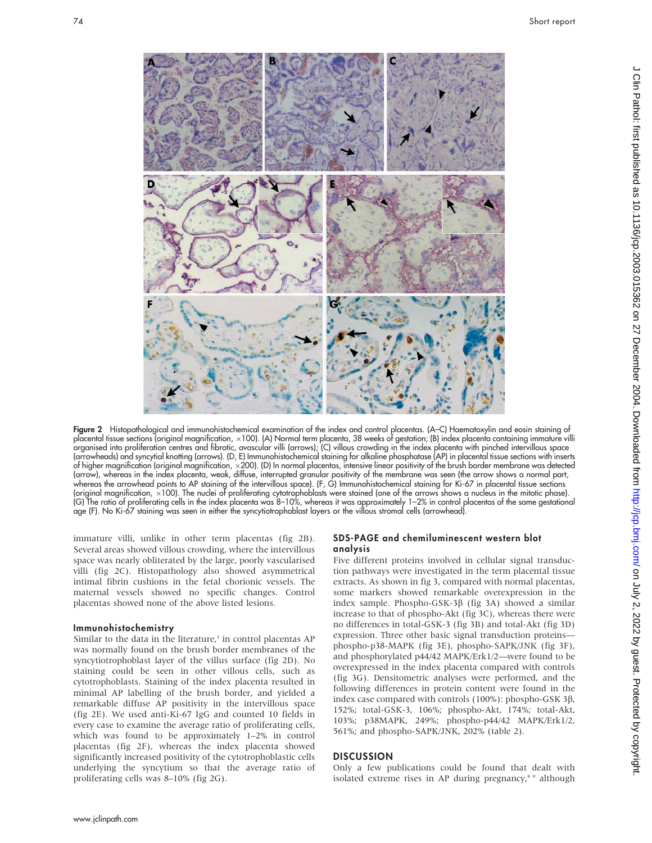

Figure 2 Histopathological and immunohistochemical examination of the index and control placentas. (A–C) Haematoxylin and eosin staining of placental tissue sections (original magnification, x100). (A) Normal term placenta, 38 weeks of gestation; (B) index placenta containing immature villi organised into proliferation centres and fibrotic, avascular villi (arrows); (C) villous crowding in the index placenta with pinched intervillous space (arrowheads) and syncytial knotting (arrows). (D, E) Immunohistochemical staining for alkaline phosphatase (AP) in placental tissue sections with inserts of higher magnification (original magnification, ×200). (D) In normal placentas, intensive linear positivity of the brush border membrane was detected (arrow), whereas in the index placenta, weak, diffuse, interrupted granular positivity of the membrane was seen (the arrow shows a normal part, whereas the arrowhead points to AP staining of the intervillous space). (F, G) Immunohistochemical staining for Ki-67 in placental tissue sections (original magnification, 6100). The nuclei of proliferating cytotrophoblasts were stained (one of the arrows shows a nucleus in the mitotic phase). (G) The ratio of proliferating cells in the index placenta was 8–10%, whereas it was approximately 1–2% in control placentas of the same gestational age (F). No Ki-67 staining was seen in either the syncytiotrophoblast layers or the villous stromal cells (arrowhead).

immature villi, unlike in other term placentas (fig 2B). Several areas showed villous crowding, where the intervillous space was nearly obliterated by the large, poorly vascularised villi (fig 2C). Histopathology also showed asymmetrical intimal fibrin cushions in the fetal chorionic vessels. The maternal vessels showed no specific changes. Control placentas showed none of the above listed lesions.

#### Immunohistochemistry

Similar to the data in the literature,<sup>3</sup> in control placentas AP was normally found on the brush border membranes of the syncytiotrophoblast layer of the villus surface (fig 2D). No staining could be seen in other villous cells, such as cytotrophoblasts. Staining of the index placenta resulted in minimal AP labelling of the brush border, and yielded a remarkable diffuse AP positivity in the intervillous space (fig 2E). We used anti-Ki-67 IgG and counted 10 fields in every case to examine the average ratio of proliferating cells, which was found to be approximately 1–2% in control placentas (fig 2F), whereas the index placenta showed significantly increased positivity of the cytotrophoblastic cells underlying the syncytium so that the average ratio of proliferating cells was 8–10% (fig 2G).

## SDS-PAGE and chemiluminescent western blot analysis

Five different proteins involved in cellular signal transduction pathways were investigated in the term placental tissue extracts. As shown in fig 3, compared with normal placentas, some markers showed remarkable overexpression in the index sample. Phospho-GSK-3 $\beta$  (fig 3A) showed a similar increase to that of phospho-Akt (fig 3C), whereas there were no differences in total-GSK-3 (fig 3B) and total-Akt (fig 3D) expression. Three other basic signal transduction proteins phospho-p38-MAPK (fig 3E), phospho-SAPK/JNK (fig 3F), and phosphorylated p44/42 MAPK/Erk1/2—were found to be overexpressed in the index placenta compared with controls (fig 3G). Densitometric analyses were performed, and the following differences in protein content were found in the index case compared with controls (100%): phospho-GSK 3β, 152%; total-GSK-3, 106%; phospho-Akt, 174%; total-Akt, 103%; p38MAPK, 249%; phospho-p44/42 MAPK/Erk1/2, 561%; and phospho-SAPK/JNK, 202% (table 2).

## **DISCUSSION**

Only a few publications could be found that dealt with isolated extreme rises in AP during pregnancy,<sup>8 9</sup> although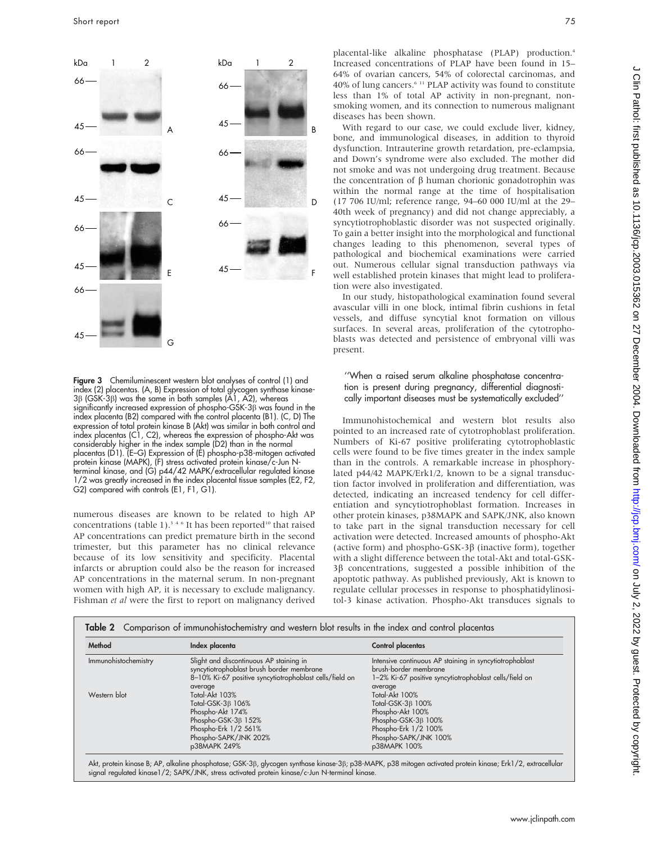

Figure 3 Chemiluminescent western blot analyses of control (1) and index (2) placentas. (A, B) Expression of total glycogen synthase kinase- $3\beta$  (GSK-3 $\beta$ ) was the same in both samples (A1, A2), whereas significantly increased expression of phospho-GSK-3 $\beta$  was found in the index placenta (B2) compared with the control placenta (B1). (C, D) The expression of total protein kinase B (Akt) was similar in both control and index placentas (C1, C2), whereas the expression of phospho-Akt was considerably higher in the index sample (D2) than in the normal placentas (D1). (E-G) Expression of (E) phospho-p38-mitogen activated protein kinase (MAPK), (F) stress activated protein kinase/c-Jun Nterminal kinase, and (G) p44/42 MAPK/extracellular regulated kinase 1/2 was greatly increased in the index placental tissue samples (E2, F2, G2) compared with controls (E1, F1, G1).

numerous diseases are known to be related to high AP concentrations (table 1).<sup>346</sup> It has been reported<sup>10</sup> that raised AP concentrations can predict premature birth in the second trimester, but this parameter has no clinical relevance because of its low sensitivity and specificity. Placental infarcts or abruption could also be the reason for increased AP concentrations in the maternal serum. In non-pregnant women with high AP, it is necessary to exclude malignancy. Fishman et al were the first to report on malignancy derived

placental-like alkaline phosphatase (PLAP) production.<sup>4</sup> Increased concentrations of PLAP have been found in 15– 64% of ovarian cancers, 54% of colorectal carcinomas, and 40% of lung cancers.6 11 PLAP activity was found to constitute less than 1% of total AP activity in non-pregnant, nonsmoking women, and its connection to numerous malignant diseases has been shown.

With regard to our case, we could exclude liver, kidney, bone, and immunological diseases, in addition to thyroid dysfunction. Intrauterine growth retardation, pre-eclampsia, and Down's syndrome were also excluded. The mother did not smoke and was not undergoing drug treatment. Because the concentration of  $\beta$  human chorionic gonadotrophin was within the normal range at the time of hospitalisation (17 706 IU/ml; reference range, 94–60 000 IU/ml at the 29– 40th week of pregnancy) and did not change appreciably, a syncytiotrophoblastic disorder was not suspected originally. To gain a better insight into the morphological and functional changes leading to this phenomenon, several types of pathological and biochemical examinations were carried out. Numerous cellular signal transduction pathways via well established protein kinases that might lead to proliferation were also investigated.

In our study, histopathological examination found several avascular villi in one block, intimal fibrin cushions in fetal vessels, and diffuse syncytial knot formation on villous surfaces. In several areas, proliferation of the cytotrophoblasts was detected and persistence of embryonal villi was present.

#### ''When a raised serum alkaline phosphatase concentration is present during pregnancy, differential diagnostically important diseases must be systematically excluded''

Immunohistochemical and western blot results also pointed to an increased rate of cytotrophoblast proliferation. Numbers of Ki-67 positive proliferating cytotrophoblastic cells were found to be five times greater in the index sample than in the controls. A remarkable increase in phosphorylated p44/42 MAPK/Erk1/2, known to be a signal transduction factor involved in proliferation and differentiation, was detected, indicating an increased tendency for cell differentiation and syncytiotrophoblast formation. Increases in other protein kinases, p38MAPK and SAPK/JNK, also known to take part in the signal transduction necessary for cell activation were detected. Increased amounts of phospho-Akt (active form) and phospho-GSK-3 $\beta$  (inactive form), together with a slight difference between the total-Akt and total-GSK- $3\beta$  concentrations, suggested a possible inhibition of the apoptotic pathway. As published previously, Akt is known to regulate cellular processes in response to phosphatidylinositol-3 kinase activation. Phospho-Akt transduces signals to

| Method               | Index placenta                                          | Control placentas                                       |
|----------------------|---------------------------------------------------------|---------------------------------------------------------|
| Immunohistochemistry | Slight and discontinuous AP staining in                 | Intensive continuous AP staining in syncytiotrophoblast |
|                      | syncytiotrophoblast brush border membrane               | brush-border membrane                                   |
|                      | 8-10% Ki-67 positive syncytiotrophoblast cells/field on | 1-2% Ki-67 positive syncytiotrophoblast cells/field on  |
|                      | average                                                 | average                                                 |
| Western blot         | Total-Akt 103%                                          | Total-Akt 100%                                          |
|                      | Total-GSK-3 <sub>B</sub> 106%                           | Total-GSK-3 <sub>B</sub> 100%                           |
|                      | Phospho-Akt 174%                                        | Phospho-Akt 100%                                        |
|                      | Phospho-GSK-3 $\beta$ 152%                              | Phospho-GSK-3ß 100%                                     |
|                      | Phospho-Erk 1/2 561%                                    | Phospho-Erk 1/2 100%                                    |
|                      | Phospho-SAPK/JNK 202%                                   | Phospho-SAPK/JNK 100%                                   |
|                      | p38MAPK 249%                                            | p38MAPK 100%                                            |

Akt, protein kinase B; AP, alkaline phosphatase; GSK-3b, glycogen synthase kinase-3b; p38-MAPK, p38 mitogen activated protein kinase; Erk1/2, extracellular signal regulated kinase1/2; SAPK/JNK, stress activated protein kinase/c-Jun N-terminal kinase.